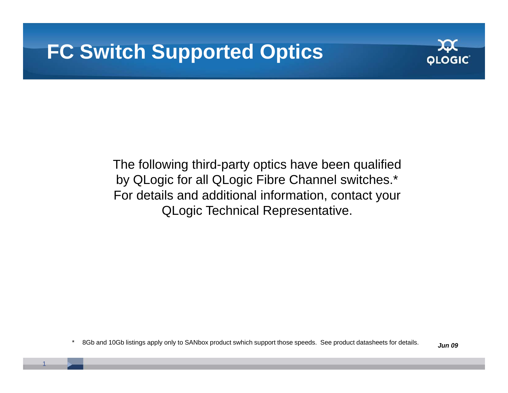## **FC Switch Supported Optics**



The following third-party optics have been qualified by QLogic for all QLogic Fibre Channel switches.\* For details and additional information, contact your QLogic Technical Representative.

8Gb and 10Gb listings apply only to SANbox product swhich support those speeds. See product datasheets for details. *Jun 09*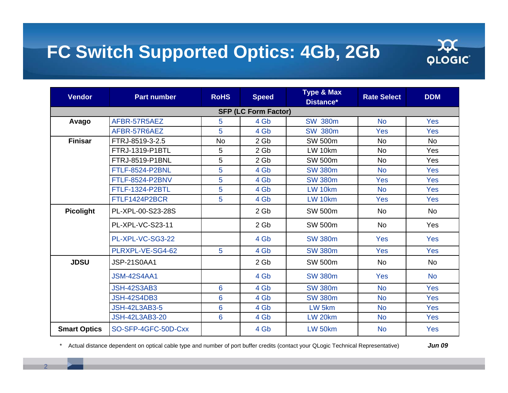## **FC Switch Supported Optics: 4Gb, 2Gb**



| <b>Vendor</b>               | <b>Part number</b>     | <b>RoHS</b>     | <b>Speed</b>    | <b>Type &amp; Max</b><br>Distance* | <b>Rate Select</b> | <b>DDM</b> |  |  |
|-----------------------------|------------------------|-----------------|-----------------|------------------------------------|--------------------|------------|--|--|
| <b>SFP (LC Form Factor)</b> |                        |                 |                 |                                    |                    |            |  |  |
| Avago                       | AFBR-57R5AEZ           | 5               | 4 Gb            | <b>SW 380m</b>                     | <b>No</b>          | <b>Yes</b> |  |  |
|                             | AFBR-57R6AEZ           | 5               | 4 Gb            | <b>SW 380m</b>                     | Yes                | Yes        |  |  |
| <b>Finisar</b>              | FTRJ-8519-3-2.5        | <b>No</b>       | 2 Gb            | <b>SW 500m</b>                     | <b>No</b>          | <b>No</b>  |  |  |
|                             | <b>FTRJ-1319-P1BTL</b> | 5               | 2 <sub>6b</sub> | LW 10km                            | <b>No</b>          | Yes        |  |  |
|                             | <b>FTRJ-8519-P1BNL</b> | 5               | 2 Gb            | <b>SW 500m</b>                     | <b>No</b>          | Yes        |  |  |
|                             | <b>FTLF-8524-P2BNL</b> | 5               | 4 Gb            | <b>SW 380m</b>                     | <b>No</b>          | <b>Yes</b> |  |  |
|                             | FTLF-8524-P2BNV        | 5               | 4 Gb            | <b>SW 380m</b>                     | <b>Yes</b>         | <b>Yes</b> |  |  |
|                             | <b>FTLF-1324-P2BTL</b> | 5               | 4 Gb            | LW 10km                            | <b>No</b>          | Yes        |  |  |
|                             | FTLF1424P2BCR          | 5               | 4 Gb            | LW 10km                            | Yes                | Yes        |  |  |
| <b>Picolight</b>            | PL-XPL-00-S23-28S      |                 | 2 Gb            | <b>SW 500m</b>                     | No                 | <b>No</b>  |  |  |
|                             | PL-XPL-VC-S23-11       |                 | 2 Gb            | <b>SW 500m</b>                     | <b>No</b>          | Yes        |  |  |
|                             | PL-XPL-VC-SG3-22       |                 | 4 Gb            | <b>SW 380m</b>                     | <b>Yes</b>         | Yes        |  |  |
|                             | PLRXPL-VE-SG4-62       | 5               | 4 Gb            | <b>SW 380m</b>                     | Yes                | <b>Yes</b> |  |  |
| <b>JDSU</b>                 | <b>JSP-21S0AA1</b>     |                 | 2 Gb            | <b>SW 500m</b>                     | <b>No</b>          | <b>No</b>  |  |  |
|                             | <b>JSM-42S4AA1</b>     |                 | 4 Gb            | <b>SW 380m</b>                     | <b>Yes</b>         | <b>No</b>  |  |  |
|                             | <b>JSH-42S3AB3</b>     | $6\phantom{1}6$ | 4 Gb            | <b>SW 380m</b>                     | <b>No</b>          | Yes        |  |  |
|                             | <b>JSH-42S4DB3</b>     | 6               | 4 Gb            | <b>SW 380m</b>                     | <b>No</b>          | <b>Yes</b> |  |  |
|                             | <b>JSH-42L3AB3-5</b>   | 6               | 4 Gb            | LW <sub>5km</sub>                  | <b>No</b>          | Yes        |  |  |
|                             | <b>JSH-42L3AB3-20</b>  | 6               | 4 Gb            | LW 20km                            | <b>No</b>          | Yes        |  |  |
| <b>Smart Optics</b>         | SO-SFP-4GFC-50D-Cxx    |                 | 4 Gb            | LW 50km                            | <b>No</b>          | <b>Yes</b> |  |  |

\* Actual distance dependent on optical cable type and number of port buffer credits (contact your QLogic Technical Representative) *Jun 09*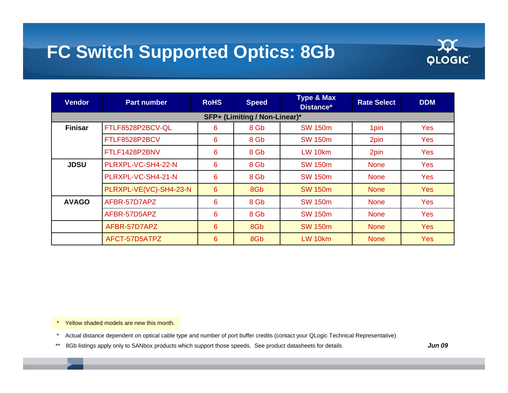## **FC Switch Supported Optics: 8Gb**



| <b>Vendor</b>                 | <b>Part number</b>     | <b>RoHS</b> | <b>Speed</b>    | <b>Type &amp; Max</b><br>Distance* | <b>Rate Select</b> | <b>DDM</b> |  |
|-------------------------------|------------------------|-------------|-----------------|------------------------------------|--------------------|------------|--|
| SFP+ (Limiting / Non-Linear)* |                        |             |                 |                                    |                    |            |  |
| <b>Finisar</b>                | FTLF8528P2BCV-QL       | 6           | 8 Gb            | <b>SW 150m</b>                     | 1pin               | <b>Yes</b> |  |
|                               | FTLF8528P2BCV          | 6           | 8 Gb            | <b>SW 150m</b>                     | 2pin               | <b>Yes</b> |  |
|                               | FTLF1428P2BNV          | 6           | 8 Gb            | $LW$ 10 $km$                       | 2pin               | <b>Yes</b> |  |
| <b>JDSU</b>                   | PLRXPL-VC-SH4-22-N     | 6           | 8 Gb            | <b>SW 150m</b>                     | <b>None</b>        | <b>Yes</b> |  |
|                               | PLRXPL-VC-SH4-21-N     | 6           | 8 Gb            | <b>SW 150m</b>                     | <b>None</b>        | <b>Yes</b> |  |
|                               | PLRXPL-VE(VC)-SH4-23-N | 6           | 8G <sub>b</sub> | <b>SW 150m</b>                     | <b>None</b>        | <b>Yes</b> |  |
| <b>AVAGO</b>                  | AFBR-57D7APZ           | 6           | 8 Gb            | <b>SW 150m</b>                     | <b>None</b>        | <b>Yes</b> |  |
|                               | AFBR-57D5APZ           | 6           | 8 Gb            | <b>SW 150m</b>                     | <b>None</b>        | <b>Yes</b> |  |
|                               | AFBR-57D7APZ           | 6           | 8G <sub>b</sub> | <b>SW 150m</b>                     | <b>None</b>        | <b>Yes</b> |  |
|                               | AFCT-57D5ATPZ          | 6           | 8Gb             | LW 10km                            | <b>None</b>        | <b>Yes</b> |  |

\* Yellow shaded models are new this month.

\* Actual distance dependent on optical cable type and number of port buffer credits (contact your QLogic Technical Representative)

\*\* 8Gb listings apply only to SANbox products which support those speeds. See product datasheets for details.